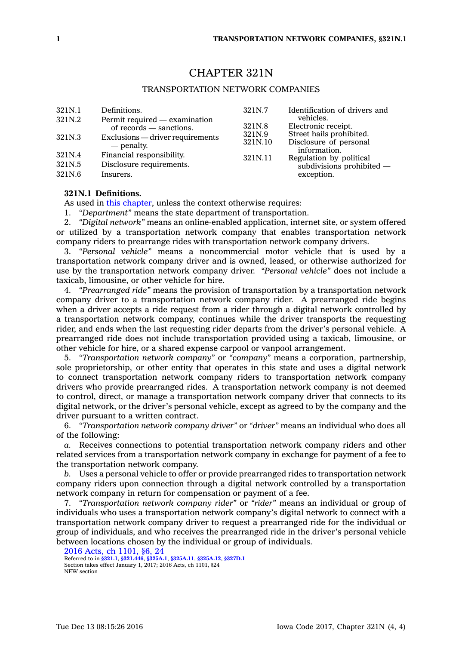# CHAPTER 321N

# TRANSPORTATION NETWORK COMPANIES

| 321N.1 | Definitions.                                             | 321N.7            | Identification of drivers and                                                                          |
|--------|----------------------------------------------------------|-------------------|--------------------------------------------------------------------------------------------------------|
| 321N.2 | Permit required — examination<br>of records — sanctions. | 321N.8            | vehicles.<br>Electronic receipt.<br>Street hails prohibited.<br>Disclosure of personal<br>information. |
| 321N.3 | Exclusions — driver requirements<br>— penalty.           | 321N.9<br>321N.10 |                                                                                                        |
| 321N.4 | Financial responsibility.                                | 321N.11           | Regulation by political                                                                                |
| 321N.5 | Disclosure requirements.                                 |                   | $subdivisions$ prohibited $-$                                                                          |
| 321N.6 | Insurers.                                                |                   | exception.                                                                                             |

### **321N.1 Definitions.**

As used in this [chapter](https://www.legis.iowa.gov/docs/code//321N.pdf), unless the context otherwise requires:

1. *"Department"* means the state department of transportation.

2. *"Digital network"* means an online-enabled application, internet site, or system offered or utilized by <sup>a</sup> transportation network company that enables transportation network company riders to prearrange rides with transportation network company drivers.

3. *"Personal vehicle"* means <sup>a</sup> noncommercial motor vehicle that is used by <sup>a</sup> transportation network company driver and is owned, leased, or otherwise authorized for use by the transportation network company driver. *"Personal vehicle"* does not include <sup>a</sup> taxicab, limousine, or other vehicle for hire.

4. *"Prearranged ride"* means the provision of transportation by <sup>a</sup> transportation network company driver to <sup>a</sup> transportation network company rider. A prearranged ride begins when <sup>a</sup> driver accepts <sup>a</sup> ride request from <sup>a</sup> rider through <sup>a</sup> digital network controlled by <sup>a</sup> transportation network company, continues while the driver transports the requesting rider, and ends when the last requesting rider departs from the driver's personal vehicle. A prearranged ride does not include transportation provided using <sup>a</sup> taxicab, limousine, or other vehicle for hire, or <sup>a</sup> shared expense carpool or vanpool arrangement.

5. *"Transportation network company"* or *"company"* means <sup>a</sup> corporation, partnership, sole proprietorship, or other entity that operates in this state and uses <sup>a</sup> digital network to connect transportation network company riders to transportation network company drivers who provide prearranged rides. A transportation network company is not deemed to control, direct, or manage <sup>a</sup> transportation network company driver that connects to its digital network, or the driver's personal vehicle, except as agreed to by the company and the driver pursuant to <sup>a</sup> written contract.

6. *"Transportation network company driver"* or *"driver"* means an individual who does all of the following:

*a.* Receives connections to potential transportation network company riders and other related services from <sup>a</sup> transportation network company in exchange for payment of <sup>a</sup> fee to the transportation network company.

*b.* Uses <sup>a</sup> personal vehicle to offer or provide prearranged rides to transportation network company riders upon connection through <sup>a</sup> digital network controlled by <sup>a</sup> transportation network company in return for compensation or payment of <sup>a</sup> fee.

7. *"Transportation network company rider"* or *"rider"* means an individual or group of individuals who uses <sup>a</sup> transportation network company's digital network to connect with <sup>a</sup> transportation network company driver to request <sup>a</sup> prearranged ride for the individual or group of individuals, and who receives the prearranged ride in the driver's personal vehicle between locations chosen by the individual or group of individuals.

```
2016 Acts, ch 1101, §6, 24
Referred to in §321.1, §321.446, §325A.1, §325A.11, §325A.12, §327D.1
Section takes effect January 1, 2017; 2016 Acts, ch 1101, §24
NEW section
```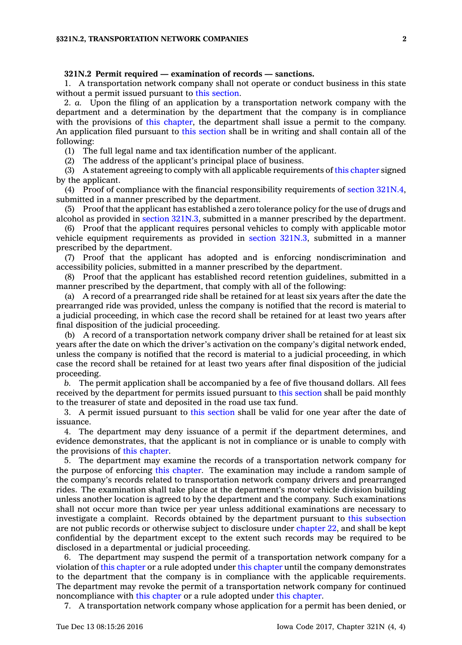#### **321N.2 Permit required — examination of records — sanctions.**

1. A transportation network company shall not operate or conduct business in this state without <sup>a</sup> permit issued pursuant to this [section](https://www.legis.iowa.gov/docs/code/321N.2.pdf).

2. *a.* Upon the filing of an application by <sup>a</sup> transportation network company with the department and <sup>a</sup> determination by the department that the company is in compliance with the provisions of this [chapter](https://www.legis.iowa.gov/docs/code//321N.pdf), the department shall issue a permit to the company. An application filed pursuant to this [section](https://www.legis.iowa.gov/docs/code/321N.2.pdf) shall be in writing and shall contain all of the following:

(1) The full legal name and tax identification number of the applicant.

(2) The address of the applicant's principal place of business.

(3) A statement agreeing to comply with all applicable requirements of this [chapter](https://www.legis.iowa.gov/docs/code//321N.pdf) signed by the applicant.

(4) Proof of compliance with the financial responsibility requirements of section [321N.4](https://www.legis.iowa.gov/docs/code/321N.4.pdf), submitted in <sup>a</sup> manner prescribed by the department.

(5) Proof that the applicant has established <sup>a</sup> zero tolerance policy for the use of drugs and alcohol as provided in section [321N.3](https://www.legis.iowa.gov/docs/code/321N.3.pdf), submitted in <sup>a</sup> manner prescribed by the department.

(6) Proof that the applicant requires personal vehicles to comply with applicable motor vehicle equipment requirements as provided in section [321N.3](https://www.legis.iowa.gov/docs/code/321N.3.pdf), submitted in <sup>a</sup> manner prescribed by the department.

(7) Proof that the applicant has adopted and is enforcing nondiscrimination and accessibility policies, submitted in <sup>a</sup> manner prescribed by the department.

(8) Proof that the applicant has established record retention guidelines, submitted in <sup>a</sup> manner prescribed by the department, that comply with all of the following:

(a) A record of <sup>a</sup> prearranged ride shall be retained for at least six years after the date the prearranged ride was provided, unless the company is notified that the record is material to <sup>a</sup> judicial proceeding, in which case the record shall be retained for at least two years after final disposition of the judicial proceeding.

(b) A record of <sup>a</sup> transportation network company driver shall be retained for at least six years after the date on which the driver's activation on the company's digital network ended, unless the company is notified that the record is material to <sup>a</sup> judicial proceeding, in which case the record shall be retained for at least two years after final disposition of the judicial proceeding.

*b.* The permit application shall be accompanied by <sup>a</sup> fee of five thousand dollars. All fees received by the department for permits issued pursuant to this [section](https://www.legis.iowa.gov/docs/code/321N.2.pdf) shall be paid monthly to the treasurer of state and deposited in the road use tax fund.

3. A permit issued pursuant to this [section](https://www.legis.iowa.gov/docs/code/321N.2.pdf) shall be valid for one year after the date of issuance.

4. The department may deny issuance of <sup>a</sup> permit if the department determines, and evidence demonstrates, that the applicant is not in compliance or is unable to comply with the provisions of this [chapter](https://www.legis.iowa.gov/docs/code//321N.pdf).

5. The department may examine the records of <sup>a</sup> transportation network company for the purpose of enforcing this [chapter](https://www.legis.iowa.gov/docs/code//321N.pdf). The examination may include <sup>a</sup> random sample of the company's records related to transportation network company drivers and prearranged rides. The examination shall take place at the department's motor vehicle division building unless another location is agreed to by the department and the company. Such examinations shall not occur more than twice per year unless additional examinations are necessary to investigate <sup>a</sup> complaint. Records obtained by the department pursuant to this [subsection](https://www.legis.iowa.gov/docs/code/321N.2.pdf) are not public records or otherwise subject to disclosure under [chapter](https://www.legis.iowa.gov/docs/code//22.pdf) 22, and shall be kept confidential by the department except to the extent such records may be required to be disclosed in <sup>a</sup> departmental or judicial proceeding.

6. The department may suspend the permit of <sup>a</sup> transportation network company for <sup>a</sup> violation of this [chapter](https://www.legis.iowa.gov/docs/code//321N.pdf) or <sup>a</sup> rule adopted under this [chapter](https://www.legis.iowa.gov/docs/code//321N.pdf) until the company demonstrates to the department that the company is in compliance with the applicable requirements. The department may revoke the permit of <sup>a</sup> transportation network company for continued noncompliance with this [chapter](https://www.legis.iowa.gov/docs/code//321N.pdf) or <sup>a</sup> rule adopted under this [chapter](https://www.legis.iowa.gov/docs/code//321N.pdf).

7. A transportation network company whose application for <sup>a</sup> permit has been denied, or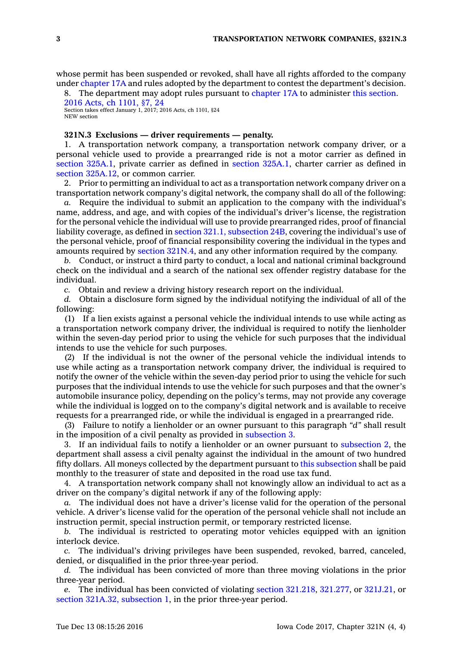whose permit has been suspended or revoked, shall have all rights afforded to the company under [chapter](https://www.legis.iowa.gov/docs/code//17A.pdf) 17A and rules adopted by the department to contest the department's decision.

8. The department may adopt rules pursuant to [chapter](https://www.legis.iowa.gov/docs/code//17A.pdf) 17A to administer this [section](https://www.legis.iowa.gov/docs/code/321N.2.pdf). 2016 Acts, ch [1101,](https://www.legis.iowa.gov/docs/acts/2016/CH1101.pdf) §7, 24

Section takes effect January 1, 2017; 2016 Acts, ch 1101, §24 NEW section

## **321N.3 Exclusions — driver requirements — penalty.**

1. A transportation network company, <sup>a</sup> transportation network company driver, or <sup>a</sup> personal vehicle used to provide <sup>a</sup> prearranged ride is not <sup>a</sup> motor carrier as defined in section [325A.1](https://www.legis.iowa.gov/docs/code/325A.1.pdf), private carrier as defined in section [325A.1](https://www.legis.iowa.gov/docs/code/325A.1.pdf), charter carrier as defined in section [325A.12](https://www.legis.iowa.gov/docs/code/325A.12.pdf), or common carrier.

2. Prior to permitting an individual to act as <sup>a</sup> transportation network company driver on <sup>a</sup> transportation network company's digital network, the company shall do all of the following:

*a.* Require the individual to submit an application to the company with the individual's name, address, and age, and with copies of the individual's driver's license, the registration for the personal vehicle the individual will use to provide prearranged rides, proof of financial liability coverage, as defined in section 321.1, [subsection](https://www.legis.iowa.gov/docs/code/321.1.pdf) 24B, covering the individual's use of the personal vehicle, proof of financial responsibility covering the individual in the types and amounts required by section [321N.4](https://www.legis.iowa.gov/docs/code/321N.4.pdf), and any other information required by the company.

*b.* Conduct, or instruct <sup>a</sup> third party to conduct, <sup>a</sup> local and national criminal background check on the individual and <sup>a</sup> search of the national sex offender registry database for the individual.

*c.* Obtain and review <sup>a</sup> driving history research report on the individual.

*d.* Obtain <sup>a</sup> disclosure form signed by the individual notifying the individual of all of the following:

(1) If <sup>a</sup> lien exists against <sup>a</sup> personal vehicle the individual intends to use while acting as <sup>a</sup> transportation network company driver, the individual is required to notify the lienholder within the seven-day period prior to using the vehicle for such purposes that the individual intends to use the vehicle for such purposes.

(2) If the individual is not the owner of the personal vehicle the individual intends to use while acting as <sup>a</sup> transportation network company driver, the individual is required to notify the owner of the vehicle within the seven-day period prior to using the vehicle for such purposes that the individual intends to use the vehicle for such purposes and that the owner's automobile insurance policy, depending on the policy's terms, may not provide any coverage while the individual is logged on to the company's digital network and is available to receive requests for <sup>a</sup> prearranged ride, or while the individual is engaged in <sup>a</sup> prearranged ride.

(3) Failure to notify <sup>a</sup> lienholder or an owner pursuant to this paragraph *"d"* shall result in the imposition of <sup>a</sup> civil penalty as provided in [subsection](https://www.legis.iowa.gov/docs/code/321N.3.pdf) 3.

3. If an individual fails to notify <sup>a</sup> lienholder or an owner pursuant to [subsection](https://www.legis.iowa.gov/docs/code/321N.3.pdf) 2, the department shall assess <sup>a</sup> civil penalty against the individual in the amount of two hundred fifty dollars. All moneys collected by the department pursuant to this [subsection](https://www.legis.iowa.gov/docs/code/321N.3.pdf) shall be paid monthly to the treasurer of state and deposited in the road use tax fund.

4. A transportation network company shall not knowingly allow an individual to act as <sup>a</sup> driver on the company's digital network if any of the following apply:

*a.* The individual does not have <sup>a</sup> driver's license valid for the operation of the personal vehicle. A driver's license valid for the operation of the personal vehicle shall not include an instruction permit, special instruction permit, or temporary restricted license.

*b.* The individual is restricted to operating motor vehicles equipped with an ignition interlock device.

*c.* The individual's driving privileges have been suspended, revoked, barred, canceled, denied, or disqualified in the prior three-year period.

*d.* The individual has been convicted of more than three moving violations in the prior three-year period.

*e.* The individual has been convicted of violating section [321.218](https://www.legis.iowa.gov/docs/code/321.218.pdf), [321.277](https://www.legis.iowa.gov/docs/code/321.277.pdf), or [321J.21](https://www.legis.iowa.gov/docs/code/321J.21.pdf), or section 321A.32, [subsection](https://www.legis.iowa.gov/docs/code/321A.32.pdf) 1, in the prior three-year period.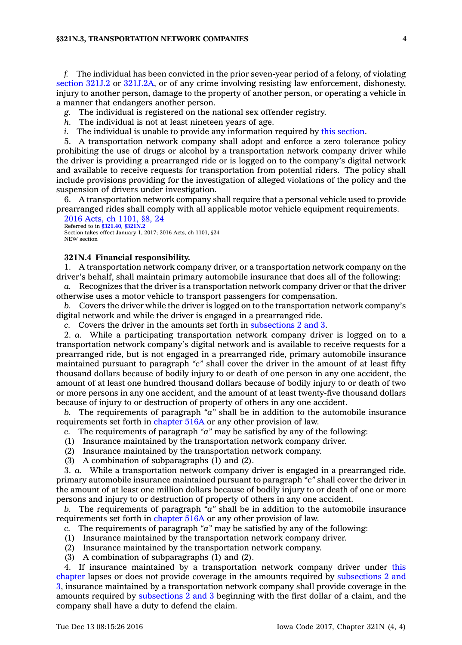#### **§321N.3, TRANSPORTATION NETWORK COMPANIES 4**

*f.* The individual has been convicted in the prior seven-year period of <sup>a</sup> felony, of violating [section](https://www.legis.iowa.gov/docs/code/321J.2.pdf) 321J.2 or [321J.2A](https://www.legis.iowa.gov/docs/code/321J.2A.pdf), or of any crime involving resisting law enforcement, dishonesty, injury to another person, damage to the property of another person, or operating <sup>a</sup> vehicle in <sup>a</sup> manner that endangers another person.

*g.* The individual is registered on the national sex offender registry.

- *h.* The individual is not at least nineteen years of age.
- *i.* The individual is unable to provide any information required by this [section](https://www.legis.iowa.gov/docs/code/321N.3.pdf).

5. A transportation network company shall adopt and enforce <sup>a</sup> zero tolerance policy prohibiting the use of drugs or alcohol by <sup>a</sup> transportation network company driver while the driver is providing <sup>a</sup> prearranged ride or is logged on to the company's digital network and available to receive requests for transportation from potential riders. The policy shall include provisions providing for the investigation of alleged violations of the policy and the suspension of drivers under investigation.

6. A transportation network company shall require that <sup>a</sup> personal vehicle used to provide prearranged rides shall comply with all applicable motor vehicle equipment requirements.

2016 Acts, ch [1101,](https://www.legis.iowa.gov/docs/acts/2016/CH1101.pdf) §8, 24 Referred to in **[§321.40](https://www.legis.iowa.gov/docs/code/321.40.pdf)**, **[§321N.2](https://www.legis.iowa.gov/docs/code/321N.2.pdf)** Section takes effect January 1, 2017; 2016 Acts, ch 1101, §24 NEW section

#### **321N.4 Financial responsibility.**

1. A transportation network company driver, or <sup>a</sup> transportation network company on the driver's behalf, shall maintain primary automobile insurance that does all of the following:

*a.* Recognizes that the driver is <sup>a</sup> transportation network company driver or that the driver otherwise uses <sup>a</sup> motor vehicle to transport passengers for compensation.

*b.* Covers the driver while the driver is logged on to the transportation network company's digital network and while the driver is engaged in <sup>a</sup> prearranged ride.

*c.* Covers the driver in the amounts set forth in [subsections](https://www.legis.iowa.gov/docs/code/321N.4.pdf) 2 and 3.

2. *a.* While <sup>a</sup> participating transportation network company driver is logged on to <sup>a</sup> transportation network company's digital network and is available to receive requests for <sup>a</sup> prearranged ride, but is not engaged in <sup>a</sup> prearranged ride, primary automobile insurance maintained pursuant to paragraph *"c"* shall cover the driver in the amount of at least fifty thousand dollars because of bodily injury to or death of one person in any one accident, the amount of at least one hundred thousand dollars because of bodily injury to or death of two or more persons in any one accident, and the amount of at least twenty-five thousand dollars because of injury to or destruction of property of others in any one accident.

*b.* The requirements of paragraph *"a"* shall be in addition to the automobile insurance requirements set forth in [chapter](https://www.legis.iowa.gov/docs/code//516A.pdf) 516A or any other provision of law.

- *c.* The requirements of paragraph *"a"* may be satisfied by any of the following:
- (1) Insurance maintained by the transportation network company driver.
- (2) Insurance maintained by the transportation network company.
- (3) A combination of subparagraphs (1) and (2).

3. *a.* While <sup>a</sup> transportation network company driver is engaged in <sup>a</sup> prearranged ride, primary automobile insurance maintained pursuant to paragraph *"c"* shall cover the driver in the amount of at least one million dollars because of bodily injury to or death of one or more persons and injury to or destruction of property of others in any one accident.

*b.* The requirements of paragraph *"a"* shall be in addition to the automobile insurance requirements set forth in [chapter](https://www.legis.iowa.gov/docs/code//516A.pdf) 516A or any other provision of law.

*c.* The requirements of paragraph *"a"* may be satisfied by any of the following:

- (1) Insurance maintained by the transportation network company driver.
- (2) Insurance maintained by the transportation network company.
- (3) A combination of subparagraphs (1) and (2).

4. If insurance maintained by <sup>a</sup> transportation network company driver under [this](https://www.legis.iowa.gov/docs/code//321N.pdf) [chapter](https://www.legis.iowa.gov/docs/code//321N.pdf) lapses or does not provide coverage in the amounts required by [subsections](https://www.legis.iowa.gov/docs/code/321N.4.pdf) 2 and [3](https://www.legis.iowa.gov/docs/code/321N.4.pdf), insurance maintained by <sup>a</sup> transportation network company shall provide coverage in the amounts required by [subsections](https://www.legis.iowa.gov/docs/code/321N.4.pdf) 2 and 3 beginning with the first dollar of <sup>a</sup> claim, and the company shall have <sup>a</sup> duty to defend the claim.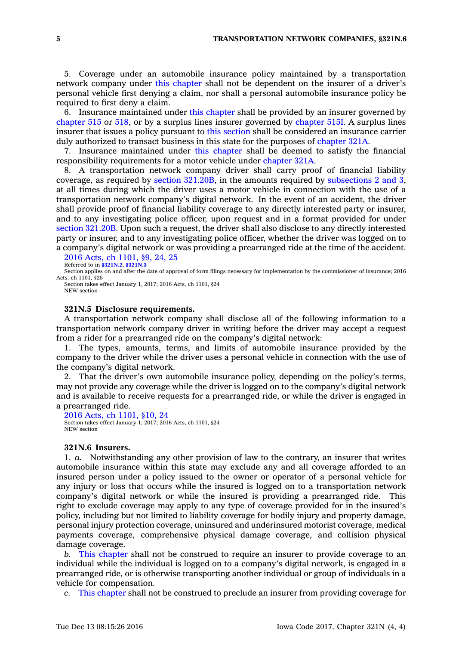5. Coverage under an automobile insurance policy maintained by <sup>a</sup> transportation network company under this [chapter](https://www.legis.iowa.gov/docs/code//321N.pdf) shall not be dependent on the insurer of <sup>a</sup> driver's personal vehicle first denying <sup>a</sup> claim, nor shall <sup>a</sup> personal automobile insurance policy be required to first deny <sup>a</sup> claim.

6. Insurance maintained under this [chapter](https://www.legis.iowa.gov/docs/code//321N.pdf) shall be provided by an insurer governed by [chapter](https://www.legis.iowa.gov/docs/code//515.pdf) 515 or [518](https://www.legis.iowa.gov/docs/code//518.pdf), or by <sup>a</sup> surplus lines insurer governed by [chapter](https://www.legis.iowa.gov/docs/code//515I.pdf) 515I. A surplus lines insurer that issues <sup>a</sup> policy pursuant to this [section](https://www.legis.iowa.gov/docs/code/321N.4.pdf) shall be considered an insurance carrier duly authorized to transact business in this state for the purposes of [chapter](https://www.legis.iowa.gov/docs/code//321A.pdf) 321A.

7. Insurance maintained under this [chapter](https://www.legis.iowa.gov/docs/code//321N.pdf) shall be deemed to satisfy the financial responsibility requirements for <sup>a</sup> motor vehicle under [chapter](https://www.legis.iowa.gov/docs/code//321A.pdf) 321A.

8. A transportation network company driver shall carry proof of financial liability coverage, as required by section [321.20B](https://www.legis.iowa.gov/docs/code/321.20B.pdf), in the amounts required by [subsections](https://www.legis.iowa.gov/docs/code/321N.4.pdf) 2 and 3, at all times during which the driver uses <sup>a</sup> motor vehicle in connection with the use of <sup>a</sup> transportation network company's digital network. In the event of an accident, the driver shall provide proof of financial liability coverage to any directly interested party or insurer, and to any investigating police officer, upon request and in <sup>a</sup> format provided for under section [321.20B](https://www.legis.iowa.gov/docs/code/321.20B.pdf). Upon such <sup>a</sup> request, the driver shall also disclose to any directly interested party or insurer, and to any investigating police officer, whether the driver was logged on to <sup>a</sup> company's digital network or was providing <sup>a</sup> prearranged ride at the time of the accident.

2016 Acts, ch [1101,](https://www.legis.iowa.gov/docs/acts/2016/CH1101.pdf) §9, 24, 25 Referred to in **[§321N.2](https://www.legis.iowa.gov/docs/code/321N.2.pdf)**, **[§321N.3](https://www.legis.iowa.gov/docs/code/321N.3.pdf)**

Section applies on and after the date of approval of form filings necessary for implementation by the commissioner of insurance; 2016 Acts, ch 1101, §25

Section takes effect January 1, 2017; 2016 Acts, ch 1101, §24 NEW section

#### **321N.5 Disclosure requirements.**

A transportation network company shall disclose all of the following information to <sup>a</sup> transportation network company driver in writing before the driver may accept <sup>a</sup> request from <sup>a</sup> rider for <sup>a</sup> prearranged ride on the company's digital network:

1. The types, amounts, terms, and limits of automobile insurance provided by the company to the driver while the driver uses <sup>a</sup> personal vehicle in connection with the use of the company's digital network.

2. That the driver's own automobile insurance policy, depending on the policy's terms, may not provide any coverage while the driver is logged on to the company's digital network and is available to receive requests for <sup>a</sup> prearranged ride, or while the driver is engaged in <sup>a</sup> prearranged ride.

2016 Acts, ch [1101,](https://www.legis.iowa.gov/docs/acts/2016/CH1101.pdf) §10, 24 Section takes effect January 1, 2017; 2016 Acts, ch 1101, §24 NEW section

#### **321N.6 Insurers.**

1. *a.* Notwithstanding any other provision of law to the contrary, an insurer that writes automobile insurance within this state may exclude any and all coverage afforded to an insured person under <sup>a</sup> policy issued to the owner or operator of <sup>a</sup> personal vehicle for any injury or loss that occurs while the insured is logged on to <sup>a</sup> transportation network company's digital network or while the insured is providing <sup>a</sup> prearranged ride. This right to exclude coverage may apply to any type of coverage provided for in the insured's policy, including but not limited to liability coverage for bodily injury and property damage, personal injury protection coverage, uninsured and underinsured motorist coverage, medical payments coverage, comprehensive physical damage coverage, and collision physical damage coverage.

*b.* This [chapter](https://www.legis.iowa.gov/docs/code//321N.pdf) shall not be construed to require an insurer to provide coverage to an individual while the individual is logged on to <sup>a</sup> company's digital network, is engaged in <sup>a</sup> prearranged ride, or is otherwise transporting another individual or group of individuals in <sup>a</sup> vehicle for compensation.

*c.* This [chapter](https://www.legis.iowa.gov/docs/code//321N.pdf) shall not be construed to preclude an insurer from providing coverage for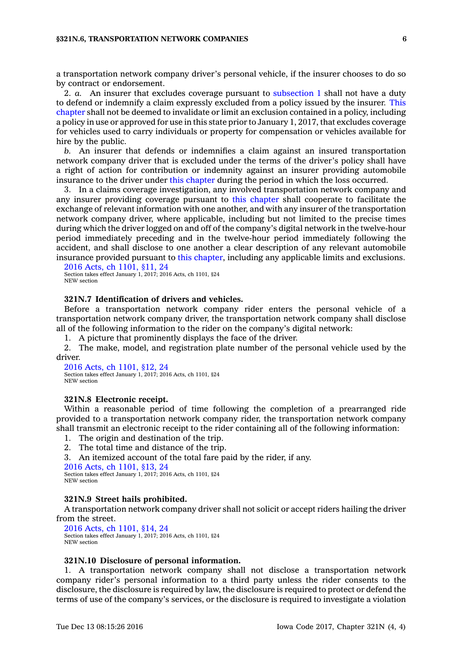<sup>a</sup> transportation network company driver's personal vehicle, if the insurer chooses to do so by contract or endorsement.

2. *a.* An insurer that excludes coverage pursuant to [subsection](https://www.legis.iowa.gov/docs/code/321N.6.pdf) 1 shall not have <sup>a</sup> duty to defend or indemnify <sup>a</sup> claim expressly excluded from <sup>a</sup> policy issued by the insurer. [This](https://www.legis.iowa.gov/docs/code//321N.pdf) [chapter](https://www.legis.iowa.gov/docs/code//321N.pdf) shall not be deemed to invalidate or limit an exclusion contained in <sup>a</sup> policy, including <sup>a</sup> policy in use or approved for use in this state prior to January 1, 2017, that excludes coverage for vehicles used to carry individuals or property for compensation or vehicles available for hire by the public.

*b.* An insurer that defends or indemnifies <sup>a</sup> claim against an insured transportation network company driver that is excluded under the terms of the driver's policy shall have <sup>a</sup> right of action for contribution or indemnity against an insurer providing automobile insurance to the driver under this [chapter](https://www.legis.iowa.gov/docs/code//321N.pdf) during the period in which the loss occurred.

3. In <sup>a</sup> claims coverage investigation, any involved transportation network company and any insurer providing coverage pursuant to this [chapter](https://www.legis.iowa.gov/docs/code//321N.pdf) shall cooperate to facilitate the exchange of relevant information with one another, and with any insurer of the transportation network company driver, where applicable, including but not limited to the precise times during which the driver logged on and off of the company's digital network in the twelve-hour period immediately preceding and in the twelve-hour period immediately following the accident, and shall disclose to one another <sup>a</sup> clear description of any relevant automobile insurance provided pursuant to this [chapter](https://www.legis.iowa.gov/docs/code//321N.pdf), including any applicable limits and exclusions.

```
2016 Acts, ch 1101, §11, 24
Section takes effect January 1, 2017; 2016 Acts, ch 1101, §24
NEW section
```
# **321N.7 Identification of drivers and vehicles.**

Before <sup>a</sup> transportation network company rider enters the personal vehicle of <sup>a</sup> transportation network company driver, the transportation network company shall disclose all of the following information to the rider on the company's digital network:

1. A picture that prominently displays the face of the driver.

2. The make, model, and registration plate number of the personal vehicle used by the driver.

```
2016 Acts, ch 1101, §12, 24
Section takes effect January 1, 2017; 2016 Acts, ch 1101, §24
NEW section
```
#### **321N.8 Electronic receipt.**

Within <sup>a</sup> reasonable period of time following the completion of <sup>a</sup> prearranged ride provided to <sup>a</sup> transportation network company rider, the transportation network company shall transmit an electronic receipt to the rider containing all of the following information:

1. The origin and destination of the trip.

2. The total time and distance of the trip.

3. An itemized account of the total fare paid by the rider, if any.

2016 Acts, ch [1101,](https://www.legis.iowa.gov/docs/acts/2016/CH1101.pdf) §13, 24 Section takes effect January 1, 2017; 2016 Acts, ch 1101, §24 NEW section

#### **321N.9 Street hails prohibited.**

A transportation network company driver shall not solicit or accept riders hailing the driver from the street.

2016 Acts, ch [1101,](https://www.legis.iowa.gov/docs/acts/2016/CH1101.pdf) §14, 24 Section takes effect January 1, 2017; 2016 Acts, ch 1101, §24 NEW section

#### **321N.10 Disclosure of personal information.**

1. A transportation network company shall not disclose <sup>a</sup> transportation network company rider's personal information to <sup>a</sup> third party unless the rider consents to the disclosure, the disclosure is required by law, the disclosure is required to protect or defend the terms of use of the company's services, or the disclosure is required to investigate <sup>a</sup> violation